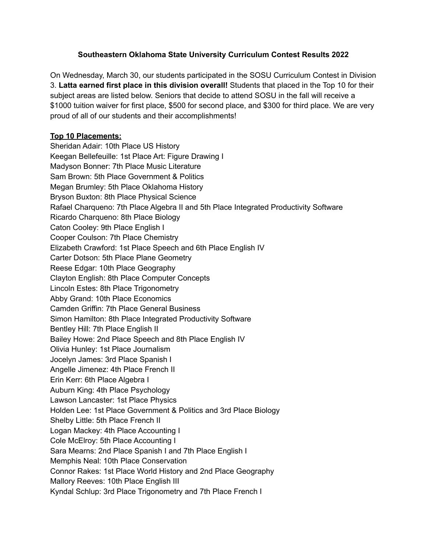## **Southeastern Oklahoma State University Curriculum Contest Results 2022**

On Wednesday, March 30, our students participated in the SOSU Curriculum Contest in Division 3. **Latta earned first place in this division overall!** Students that placed in the Top 10 for their subject areas are listed below. Seniors that decide to attend SOSU in the fall will receive a \$1000 tuition waiver for first place, \$500 for second place, and \$300 for third place. We are very proud of all of our students and their accomplishments!

## **Top 10 Placements:**

Sheridan Adair: 10th Place US History Keegan Bellefeuille: 1st Place Art: Figure Drawing I Madyson Bonner: 7th Place Music Literature Sam Brown: 5th Place Government & Politics Megan Brumley: 5th Place Oklahoma History Bryson Buxton: 8th Place Physical Science Rafael Charqueno: 7th Place Algebra II and 5th Place Integrated Productivity Software Ricardo Charqueno: 8th Place Biology Caton Cooley: 9th Place English I Cooper Coulson: 7th Place Chemistry Elizabeth Crawford: 1st Place Speech and 6th Place English IV Carter Dotson: 5th Place Plane Geometry Reese Edgar: 10th Place Geography Clayton English: 8th Place Computer Concepts Lincoln Estes: 8th Place Trigonometry Abby Grand: 10th Place Economics Camden Griffin: 7th Place General Business Simon Hamilton: 8th Place Integrated Productivity Software Bentley Hill: 7th Place English II Bailey Howe: 2nd Place Speech and 8th Place English IV Olivia Hunley: 1st Place Journalism Jocelyn James: 3rd Place Spanish I Angelle Jimenez: 4th Place French II Erin Kerr: 6th Place Algebra I Auburn King: 4th Place Psychology Lawson Lancaster: 1st Place Physics Holden Lee: 1st Place Government & Politics and 3rd Place Biology Shelby Little: 5th Place French II Logan Mackey: 4th Place Accounting I Cole McElroy: 5th Place Accounting I Sara Mearns: 2nd Place Spanish I and 7th Place English I Memphis Neal: 10th Place Conservation Connor Rakes: 1st Place World History and 2nd Place Geography Mallory Reeves: 10th Place English III Kyndal Schlup: 3rd Place Trigonometry and 7th Place French I